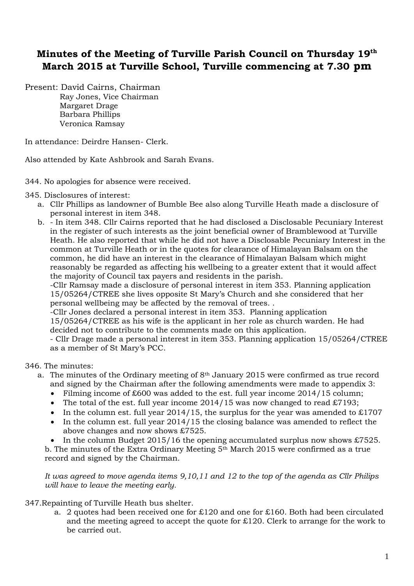## **Minutes of the Meeting of Turville Parish Council on Thursday 19th March 2015 at Turville School, Turville commencing at 7.30 pm**

Present: David Cairns, Chairman Ray Jones, Vice Chairman Margaret Drage Barbara Phillips Veronica Ramsay

In attendance: Deirdre Hansen- Clerk.

Also attended by Kate Ashbrook and Sarah Evans.

## 344. No apologies for absence were received.

345. Disclosures of interest:

- a. Cllr Phillips as landowner of Bumble Bee also along Turville Heath made a disclosure of personal interest in item 348.
- b. In item 348. Cllr Cairns reported that he had disclosed a Disclosable Pecuniary Interest in the register of such interests as the joint beneficial owner of Bramblewood at Turville Heath. He also reported that while he did not have a Disclosable Pecuniary Interest in the common at Turville Heath or in the quotes for clearance of Himalayan Balsam on the common, he did have an interest in the clearance of Himalayan Balsam which might reasonably be regarded as affecting his wellbeing to a greater extent that it would affect the majority of Council tax payers and residents in the parish.

-Cllr Ramsay made a disclosure of personal interest in item 353. Planning application 15/05264/CTREE she lives opposite St Mary's Church and she considered that her personal wellbeing may be affected by the removal of trees. .

-Cllr Jones declared a personal interest in item 353. Planning application

15/05264/CTREE as his wife is the applicant in her role as church warden. He had decided not to contribute to the comments made on this application.

- Cllr Drage made a personal interest in item 353. Planning application 15/05264/CTREE as a member of St Mary's PCC.

346. The minutes:

- a. The minutes of the Ordinary meeting of  $8<sup>th</sup>$  January 2015 were confirmed as true record and signed by the Chairman after the following amendments were made to appendix 3:
	- Filming income of £600 was added to the est. full year income 2014/15 column;
	- The total of the est. full year income  $2014/15$  was now changed to read £7193;
	- In the column est. full year  $2014/15$ , the surplus for the year was amended to £1707
	- In the column est. full year 2014/15 the closing balance was amended to reflect the above changes and now shows £7525.

• In the column Budget  $2015/16$  the opening accumulated surplus now shows £7525. b. The minutes of the Extra Ordinary Meeting 5th March 2015 were confirmed as a true record and signed by the Chairman.

*It was agreed to move agenda items 9,10,11 and 12 to the top of the agenda as Cllr Philips will have to leave the meeting early.*

## 347.Repainting of Turville Heath bus shelter.

a. 2 quotes had been received one for £120 and one for £160. Both had been circulated and the meeting agreed to accept the quote for £120. Clerk to arrange for the work to be carried out.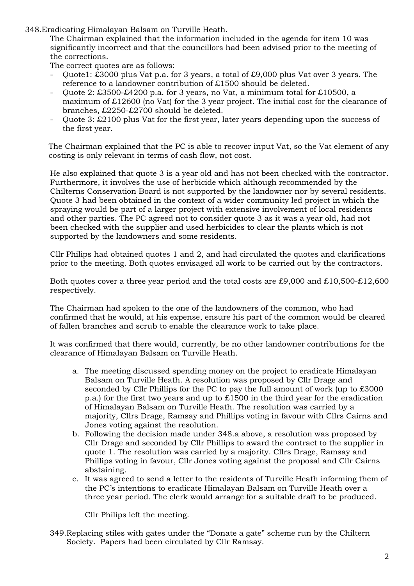348.Eradicating Himalayan Balsam on Turville Heath.

The Chairman explained that the information included in the agenda for item 10 was significantly incorrect and that the councillors had been advised prior to the meeting of the corrections.

The correct quotes are as follows:

- Quote1:  $\overline{\text{\textsterling}}3000$  plus Vat p.a. for 3 years, a total of £9,000 plus Vat over 3 years. The reference to a landowner contribution of £1500 should be deleted.
- Quote 2: £3500-£4200 p.a. for 3 years, no Vat, a minimum total for £10500, a maximum of £12600 (no Vat) for the 3 year project. The initial cost for the clearance of branches, £2250-£2700 should be deleted.
- Quote 3: £2100 plus Vat for the first year, later years depending upon the success of the first year.

The Chairman explained that the PC is able to recover input Vat, so the Vat element of any costing is only relevant in terms of cash flow, not cost.

He also explained that quote 3 is a year old and has not been checked with the contractor. Furthermore, it involves the use of herbicide which although recommended by the Chilterns Conservation Board is not supported by the landowner nor by several residents. Quote 3 had been obtained in the context of a wider community led project in which the spraying would be part of a larger project with extensive involvement of local residents and other parties. The PC agreed not to consider quote 3 as it was a year old, had not been checked with the supplier and used herbicides to clear the plants which is not supported by the landowners and some residents.

Cllr Philips had obtained quotes 1 and 2, and had circulated the quotes and clarifications prior to the meeting. Both quotes envisaged all work to be carried out by the contractors.

Both quotes cover a three year period and the total costs are £9,000 and £10,500-£12,600 respectively.

The Chairman had spoken to the one of the landowners of the common, who had confirmed that he would, at his expense, ensure his part of the common would be cleared of fallen branches and scrub to enable the clearance work to take place.

It was confirmed that there would, currently, be no other landowner contributions for the clearance of Himalayan Balsam on Turville Heath.

- a. The meeting discussed spending money on the project to eradicate Himalayan Balsam on Turville Heath. A resolution was proposed by Cllr Drage and seconded by Cllr Phillips for the PC to pay the full amount of work (up to £3000 p.a.) for the first two years and up to £1500 in the third year for the eradication of Himalayan Balsam on Turville Heath. The resolution was carried by a majority, Cllrs Drage, Ramsay and Phillips voting in favour with Cllrs Cairns and Jones voting against the resolution.
- b. Following the decision made under 348.a above, a resolution was proposed by Cllr Drage and seconded by Cllr Phillips to award the contract to the supplier in quote 1. The resolution was carried by a majority. Cllrs Drage, Ramsay and Phillips voting in favour, Cllr Jones voting against the proposal and Cllr Cairns abstaining.
- c. It was agreed to send a letter to the residents of Turville Heath informing them of the PC's intentions to eradicate Himalayan Balsam on Turville Heath over a three year period. The clerk would arrange for a suitable draft to be produced.

Cllr Philips left the meeting.

349.Replacing stiles with gates under the "Donate a gate" scheme run by the Chiltern Society. Papers had been circulated by Cllr Ramsay.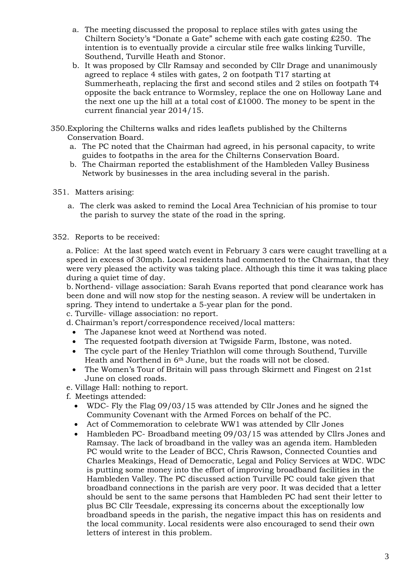- a. The meeting discussed the proposal to replace stiles with gates using the Chiltern Society's "Donate a Gate" scheme with each gate costing £250. The intention is to eventually provide a circular stile free walks linking Turville, Southend, Turville Heath and Stonor.
- b. It was proposed by Cllr Ramsay and seconded by Cllr Drage and unanimously agreed to replace 4 stiles with gates, 2 on footpath T17 starting at Summerheath, replacing the first and second stiles and 2 stiles on footpath T4 opposite the back entrance to Wormsley, replace the one on Holloway Lane and the next one up the hill at a total cost of  $£1000$ . The money to be spent in the current financial year 2014/15.
- 350.Exploring the Chilterns walks and rides leaflets published by the Chilterns Conservation Board.
	- a. The PC noted that the Chairman had agreed, in his personal capacity, to write guides to footpaths in the area for the Chilterns Conservation Board.
	- b. The Chairman reported the establishment of the Hambleden Valley Business Network by businesses in the area including several in the parish.
- 351. Matters arising:
	- a. The clerk was asked to remind the Local Area Technician of his promise to tour the parish to survey the state of the road in the spring.
- 352. Reports to be received:

a. Police: At the last speed watch event in February 3 cars were caught travelling at a speed in excess of 30mph. Local residents had commented to the Chairman, that they were very pleased the activity was taking place. Although this time it was taking place during a quiet time of day.

b. Northend- village association: Sarah Evans reported that pond clearance work has been done and will now stop for the nesting season. A review will be undertaken in spring. They intend to undertake a 5-year plan for the pond.

c. Turville- village association: no report.

- d. Chairman's report/correspondence received/local matters:
	- The Japanese knot weed at Northend was noted.
	- The requested footpath diversion at Twigside Farm, Ibstone, was noted.
	- The cycle part of the Henley Triathlon will come through Southend, Turville Heath and Northend in 6th June, but the roads will not be closed.
	- The Women's Tour of Britain will pass through Skirmett and Fingest on 21st June on closed roads.
- e. Village Hall: nothing to report.
- f. Meetings attended:
	- WDC- Fly the Flag 09/03/15 was attended by Cllr Jones and he signed the Community Covenant with the Armed Forces on behalf of the PC.
	- Act of Commemoration to celebrate WW1 was attended by Cllr Jones
	- Hambleden PC- Broadband meeting 09/03/15 was attended by Cllrs Jones and Ramsay. The lack of broadband in the valley was an agenda item. Hambleden PC would write to the Leader of BCC, Chris Rawson, Connected Counties and Charles Meakings, Head of Democratic, Legal and Policy Services at WDC. WDC is putting some money into the effort of improving broadband facilities in the Hambleden Valley. The PC discussed action Turville PC could take given that broadband connections in the parish are very poor. It was decided that a letter should be sent to the same persons that Hambleden PC had sent their letter to plus BC Cllr Teesdale, expressing its concerns about the exceptionally low broadband speeds in the parish, the negative impact this has on residents and the local community. Local residents were also encouraged to send their own letters of interest in this problem.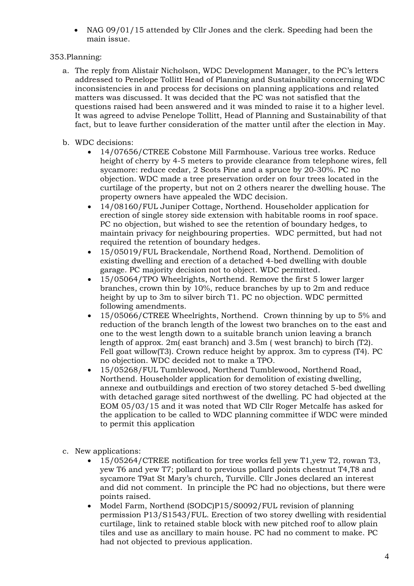• NAG 09/01/15 attended by Cllr Jones and the clerk. Speeding had been the main issue.

## 353.Planning:

- a. The reply from Alistair Nicholson, WDC Development Manager, to the PC's letters addressed to Penelope Tollitt Head of Planning and Sustainability concerning WDC inconsistencies in and process for decisions on planning applications and related matters was discussed. It was decided that the PC was not satisfied that the questions raised had been answered and it was minded to raise it to a higher level. It was agreed to advise Penelope Tollitt, Head of Planning and Sustainability of that fact, but to leave further consideration of the matter until after the election in May.
- b. WDC decisions:
	- 14/07656/CTREE Cobstone Mill Farmhouse. Various tree works. Reduce height of cherry by 4-5 meters to provide clearance from telephone wires, fell sycamore: reduce cedar, 2 Scots Pine and a spruce by 20-30%. PC no objection. WDC made a tree preservation order on four trees located in the curtilage of the property, but not on 2 others nearer the dwelling house. The property owners have appealed the WDC decision.
	- 14/08160/FUL Juniper Cottage, Northend. Householder application for erection of single storey side extension with habitable rooms in roof space. PC no objection, but wished to see the retention of boundary hedges, to maintain privacy for neighbouring properties. WDC permitted, but had not required the retention of boundary hedges.
	- 15/05019/FUL Brackendale, Northend Road, Northend. Demolition of existing dwelling and erection of a detached 4-bed dwelling with double garage. PC majority decision not to object. WDC permitted.
	- 15/05064/TPO Wheelrights, Northend. Remove the first 5 lower larger branches, crown thin by 10%, reduce branches by up to 2m and reduce height by up to 3m to silver birch T1. PC no objection. WDC permitted following amendments.
	- 15/05066/CTREE Wheelrights, Northend. Crown thinning by up to 5% and reduction of the branch length of the lowest two branches on to the east and one to the west length down to a suitable branch union leaving a branch length of approx. 2m( east branch) and 3.5m ( west branch) to birch (T2). Fell goat willow(T3). Crown reduce height by approx. 3m to cypress (T4). PC no objection. WDC decided not to make a TPO.
	- 15/05268/FUL Tumblewood, Northend Tumblewood, Northend Road, Northend. Householder application for demolition of existing dwelling, annexe and outbuildings and erection of two storey detached 5-bed dwelling with detached garage sited northwest of the dwelling. PC had objected at the EOM 05/03/15 and it was noted that WD Cllr Roger Metcalfe has asked for the application to be called to WDC planning committee if WDC were minded to permit this application
- c. New applications:
	- 15/05264/CTREE notification for tree works fell yew T1,yew T2, rowan T3, yew T6 and yew T7; pollard to previous pollard points chestnut T4,T8 and sycamore T9at St Mary's church, Turville. Cllr Jones declared an interest and did not comment. In principle the PC had no objections, but there were points raised.
	- Model Farm, Northend (SODC)P15/S0092/FUL revision of planning permission P13/S1543/FUL. Erection of two storey dwelling with residential curtilage, link to retained stable block with new pitched roof to allow plain tiles and use as ancillary to main house. PC had no comment to make. PC had not objected to previous application.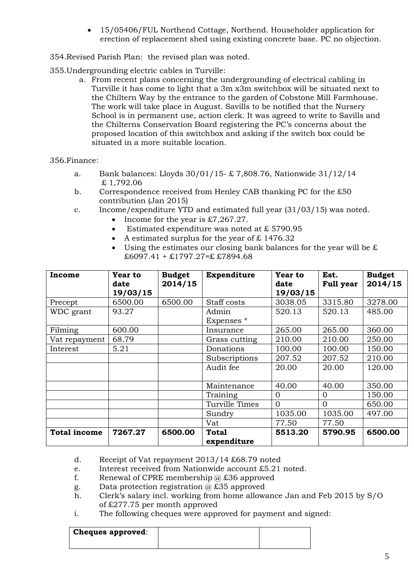- 15/05406/FUL Northend Cottage, Northend. Householder application for erection of replacement shed using existing concrete base. PC no objection.
- 354.Revised Parish Plan: the revised plan was noted.

355.Undergrounding electric cables in Turville:

a. From recent plans concerning the undergrounding of electrical cabling in Turville it has come to light that a 3m x3m switchbox will be situated next to the Chiltern Way by the entrance to the garden of Cobstone Mill Farmhouse. The work will take place in August. Savills to be notified that the Nursery School is in permanent use, action clerk. It was agreed to write to Savills and the Chilterns Conservation Board registering the PC's concerns about the proposed location of this switchbox and asking if the switch box could be situated in a more suitable location.

356.Finance:

- a. Bank balances: Lloyds 30/01/15- £ 7,808.76, Nationwide 31/12/14 £ 1,792.06
- b. Correspondence received from Henley CAB thanking PC for the £50 contribution (Jan 2015)
- c. Income/expenditure YTD and estimated full year (31/03/15) was noted.
	- Income for the year is  $\text{\pounds}7.267.27$ .
	- Estimated expenditure was noted at £ 5790.95
	- A estimated surplus for the year of  $£ 1476.32$
	- Using the estimates our closing bank balances for the year will be  $\mathcal E$  $£6097.41 + £1797.27 = £7894.68$

| Income              | Year to<br>date<br>19/03/15 | <b>Budget</b><br>2014/15 | Expenditure                 | Year to<br>date<br>19/03/15 | Est.<br><b>Full year</b> | <b>Budget</b><br>2014/15 |
|---------------------|-----------------------------|--------------------------|-----------------------------|-----------------------------|--------------------------|--------------------------|
| Precept             | 6500.00                     | 6500.00                  | Staff costs                 | 3038.05                     | 3315.80                  | 3278.00                  |
| WDC grant           | 93.27                       |                          | Admin<br>Expenses *         | 520.13                      | 520.13                   | 485.00                   |
| Filming             | 600.00                      |                          | Insurance                   | 265.00                      | 265.00                   | 360.00                   |
| Vat repayment       | 68.79                       |                          | Grass cutting               | 210.00                      | 210.00                   | 250.00                   |
| Interest            | 5.21                        |                          | Donations                   | 100.00                      | 100.00                   | 150.00                   |
|                     |                             |                          | Subscriptions               | 207.52                      | 207.52                   | 210.00                   |
|                     |                             |                          | Audit fee                   | 20.00                       | 20.00                    | 120.00                   |
|                     |                             |                          | Maintenance                 | 40.00                       | 40.00                    | 350.00                   |
|                     |                             |                          | Training                    | $\Omega$                    | $\Omega$                 | 150.00                   |
|                     |                             |                          | Turville Times              | $\Omega$                    | $\Omega$                 | 650.00                   |
|                     |                             |                          | Sundry                      | 1035.00                     | 1035.00                  | 497.00                   |
|                     |                             |                          | Vat                         | 77.50                       | 77.50                    |                          |
| <b>Total income</b> | 7267.27                     | 6500.00                  | <b>Total</b><br>expenditure | 5513.20                     | 5790.95                  | 6500.00                  |

- d. Receipt of Vat repayment 2013/14 £68.79 noted
- e. Interest received from Nationwide account £5.21 noted.
- f. Renewal of CPRE membership  $\hat{\omega}$  £36 approved
- g. Data protection registration  $\omega$  £35 approved
- h. Clerk's salary incl. working from home allowance Jan and Feb 2015 by S/O of £277.75 per month approved
- i. The following cheques were approved for payment and signed:

| <b>Cheques approved:</b> |  |
|--------------------------|--|
|                          |  |